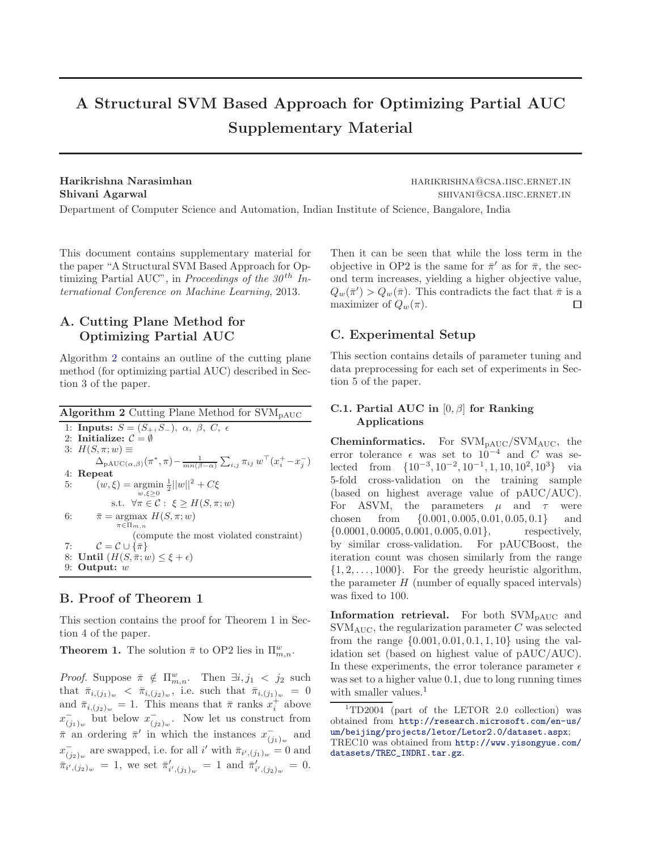# A Structural SVM Based Approach for Optimizing Partial AUC Supplementary Material

Harikrishna Narasimhan harikari harikrishna Narasimhan harikrishna harikrishna harikrishna Narasimhan harikrish Shivani Agarwal shivani agama shivani Agarwal shivani agama shivani agama shivani agama shivani agama shivani a Department of Computer Science and Automation, Indian Institute of Science, Bangalore, India

This document contains supplementary material for the paper "A Structural SVM Based Approach for Optimizing Partial AUC", in Proceedings of the  $30<sup>th</sup>$  International Conference on Machine Learning, 2013.

# A. Cutting Plane Method for Optimizing Partial AUC

Algorithm 2 contains an outline of the cutting plane method (for optimizing partial AUC) described in Section 3 of the paper.

Algorithm 2 Cutting Plane Method for  $\text{SVM}_{\text{PAUC}}$ 1: Inputs:  $S = (S_+, S_-), \alpha, \beta, C, \epsilon$ 2: Initialize:  $\mathcal{C} = \emptyset$ 3:  $H(S, \pi; w) \equiv$  $\Delta_{\text{PAUC}(\alpha,\beta)}(\pi^*, \pi) - \frac{1}{mn(\beta-\alpha)} \sum_{i,j} \pi_{ij} w^\top (x_i^+ - x_j^-)$ 4: Repeat 5:  $(w, \xi) = \operatorname*{argmin}_{z > 0} \frac{1}{2} ||w||^2 + C\xi$  $w, \xi \geq 0$ s.t.  $\forall \pi \in \mathcal{C}: \xi \geq H(S, \pi; w)$ 6:  $\bar{\pi} = \arg\max H(S, \pi; w)$  $\pi \in \Pi_{m,n}$ (compute the most violated constraint) 7:  $\mathcal{C} = \mathcal{C} \cup \{\bar{\pi}\}\$ 8: Until  $(H(S, \bar{\pi}; w) \leq \xi + \epsilon)$ 9: Output: w

### B. Proof of Theorem 1

This section contains the proof for Theorem 1 in Section 4 of the paper.

**Theorem 1.** The solution  $\bar{\pi}$  to OP2 lies in  $\Pi_{m,n}^w$ .

*Proof.* Suppose  $\bar{\pi} \notin \Pi_{m,n}^w$ . Then  $\exists i, j_1 < j_2$  such that  $\bar{\pi}_{i,(j_1)_w}$   $\langle \bar{\pi}_{i,(j_2)_w}$ , i.e. such that  $\bar{\pi}_{i,(j_1)_w} = 0$ and  $\bar{\pi}_{i,(j_2)_w} = 1$ . This means that  $\bar{\pi}$  ranks  $x_i^+$  above  $x_{\ell}^ \overline{(j_1)_w}$  but below  $x^{-}_{(j)}$  $\bar{t}_{(j_2)_w}$ . Now let us construct from  $\bar{\pi}$  an ordering  $\bar{\pi}'$  in which the instances  $x_{(i)}^ \overline{(j_1)_w}$  and  $x_{\ell}^ \bar{\pi}_{i',(j_1)_w}$  are swapped, i.e. for all i' with  $\bar{\pi}_{i',(j_1)_w} = 0$  and  $\bar{\pi}_{i',(j_2)_w}^{(j_2)_w} = 1$ , we set  $\bar{\pi}'_i$  $'_{i',(j_1)_w} = 1$  and  $\bar{\pi}'_i$  $i', (j_2)_w = 0.$  Then it can be seen that while the loss term in the objective in OP2 is the same for  $\bar{\pi}'$  as for  $\bar{\pi}$ , the second term increases, yielding a higher objective value,  $Q_w(\bar{\pi}') > Q_w(\bar{\pi})$ . This contradicts the fact that  $\bar{\pi}$  is a maximizer of  $Q_w(\pi)$ .  $\Box$ 

# C. Experimental Setup

This section contains details of parameter tuning and data preprocessing for each set of experiments in Section 5 of the paper.

## C.1. Partial AUC in  $[0, \beta]$  for Ranking Applications

**Cheminformatics.** For  $\text{SVM}_{\text{PAUC}}/\text{SVM}_{\text{AUC}}$ , the error tolerance  $\epsilon$  was set to  $10^{-4}$  and C was selected from  $\{10^{-3}, 10^{-2}, 10^{-1}, 1, 10, 10^{2}, 10^{3}\}$  via 5-fold cross-validation on the training sample (based on highest average value of pAUC/AUC). For ASVM, the parameters  $\mu$  and  $\tau$  were chosen from {0.001, 0.005, 0.01, 0.05, 0.1} and  $\{0.0001, 0.0005, 0.001, 0.005, 0.01\}, \text{ respectively},$ by similar cross-validation. For pAUCBoost, the iteration count was chosen similarly from the range  $\{1, 2, \ldots, 1000\}$ . For the greedy heuristic algorithm, the parameter  $H$  (number of equally spaced intervals) was fixed to 100.

**Information retrieval.** For both  $\text{SVM}_{\text{pAUC}}$  and  $\text{SVM}_{\text{AUC}}$ , the regularization parameter C was selected from the range  $\{0.001, 0.01, 0.1, 1, 10\}$  using the validation set (based on highest value of pAUC/AUC). In these experiments, the error tolerance parameter  $\epsilon$ was set to a higher value 0.1, due to long running times with smaller values.<sup>1</sup>

 $1^1$ TD2004 (part of the LETOR 2.0 collection) was obtained from [http://research.microsoft.com/en-us/](http://research.microsoft.com/en-us/um/beijing/projects/letor/Letor2.0/dataset.aspx) [um/beijing/projects/letor/Letor2.0/dataset.aspx](http://research.microsoft.com/en-us/um/beijing/projects/letor/Letor2.0/dataset.aspx); TREC10 was obtained from [http://www.yisongyue.com/](http://www.yisongyue.com/datasets/TREC_INDRI.tar.gz) [datasets/TREC\\_INDRI.tar.gz](http://www.yisongyue.com/datasets/TREC_INDRI.tar.gz).